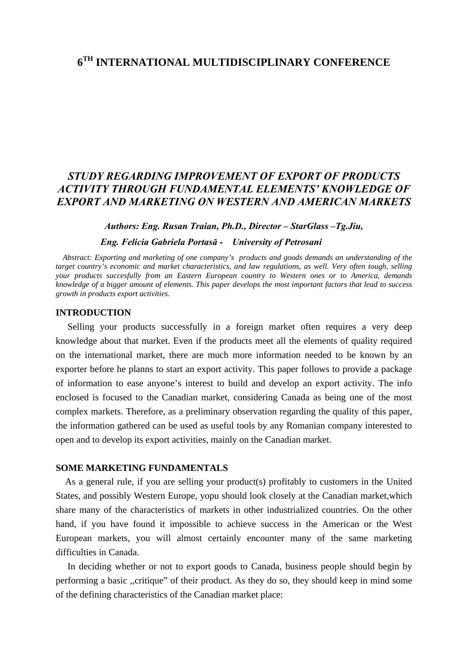# *STUDY REGARDING IMPROVEMENT OF EXPORT OF PRODUCTS ACTIVITY THROUGH FUNDAMENTAL ELEMENTS' KNOWLEDGE OF EXPORT AND MARKETING ON WESTERN AND AMERICAN MARKETS*

### *Authors: Eng. Rusan Traian, Ph.D., Director – StarGlass –Tg.Jiu,*

### *Eng. Felicia Gabriela Portasă - University of Petrosani*

 *Abstract: Exporting and marketing of one company's products and goods demands an understanding of the target country's economic and market characteristics, and law regulations, as well. Very often tough, selling your products succesfully from an Eastern European country to Western ones or to America, demands knowledge of a bigger amount of elements. This paper develops the most important factors that lead to success growth in products export activities.* 

### **INTRODUCTION**

 Selling your products successfully in a foreign market often requires a very deep knowledge about that market. Even if the products meet all the elements of quality required on the international market, there are much more information needed to be known by an exporter before he planns to start an export activity. This paper follows to provide a package of information to ease anyone's interest to build and develop an export activity. The info enclosed is focused to the Canadian market, considering Canada as being one of the most complex markets. Therefore, as a preliminary observation regarding the quality of this paper, the information gathered can be used as useful tools by any Romanian company interested to open and to develop its export activities, mainly on the Canadian market.

#### **SOME MARKETING FUNDAMENTALS**

 As a general rule, if you are selling your product(s) profitably to customers in the United States, and possibly Western Europe, yopu should look closely at the Canadian market,which share many of the characteristics of markets in other industrialized countries. On the other hand, if you have found it impossible to achieve success in the American or the West European markets, you will almost certainly encounter many of the same marketing difficulties in Canada.

 In deciding whether or not to export goods to Canada, business people should begin by performing a basic ,,critique" of their product. As they do so, they should keep in mind some of the defining characteristics of the Canadian market place: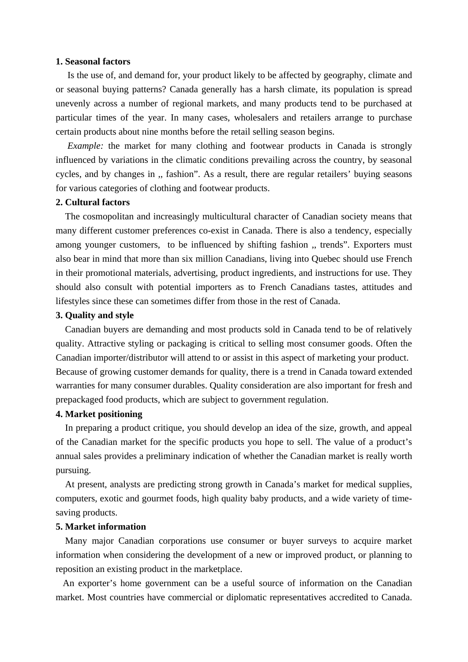### **1. Seasonal factors**

 Is the use of, and demand for, your product likely to be affected by geography, climate and or seasonal buying patterns? Canada generally has a harsh climate, its population is spread unevenly across a number of regional markets, and many products tend to be purchased at particular times of the year. In many cases, wholesalers and retailers arrange to purchase certain products about nine months before the retail selling season begins.

*Example:* the market for many clothing and footwear products in Canada is strongly influenced by variations in the climatic conditions prevailing across the country, by seasonal cycles, and by changes in ,, fashion". As a result, there are regular retailers' buying seasons for various categories of clothing and footwear products.

# **2. Cultural factors**

 The cosmopolitan and increasingly multicultural character of Canadian society means that many different customer preferences co-exist in Canada. There is also a tendency, especially among younger customers, to be influenced by shifting fashion ,, trends". Exporters must also bear in mind that more than six million Canadians, living into Quebec should use French in their promotional materials, advertising, product ingredients, and instructions for use. They should also consult with potential importers as to French Canadians tastes, attitudes and lifestyles since these can sometimes differ from those in the rest of Canada.

#### **3. Quality and style**

 Canadian buyers are demanding and most products sold in Canada tend to be of relatively quality. Attractive styling or packaging is critical to selling most consumer goods. Often the Canadian importer/distributor will attend to or assist in this aspect of marketing your product. Because of growing customer demands for quality, there is a trend in Canada toward extended warranties for many consumer durables. Quality consideration are also important for fresh and prepackaged food products, which are subject to government regulation.

### **4. Market positioning**

 In preparing a product critique, you should develop an idea of the size, growth, and appeal of the Canadian market for the specific products you hope to sell. The value of a product's annual sales provides a preliminary indication of whether the Canadian market is really worth pursuing.

 At present, analysts are predicting strong growth in Canada's market for medical supplies, computers, exotic and gourmet foods, high quality baby products, and a wide variety of timesaving products.

#### **5. Market information**

 Many major Canadian corporations use consumer or buyer surveys to acquire market information when considering the development of a new or improved product, or planning to reposition an existing product in the marketplace.

 An exporter's home government can be a useful source of information on the Canadian market. Most countries have commercial or diplomatic representatives accredited to Canada.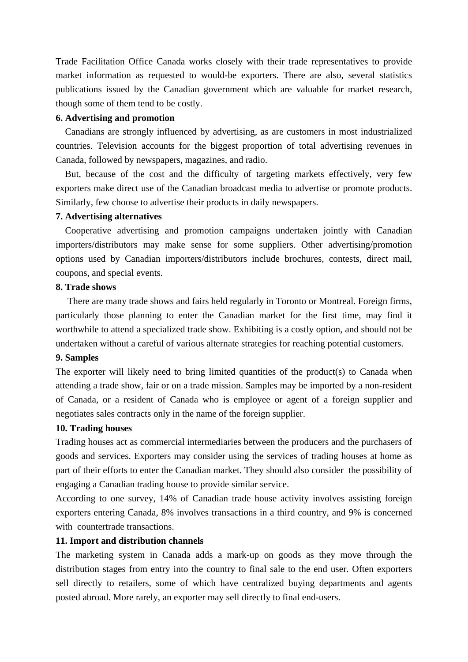Trade Facilitation Office Canada works closely with their trade representatives to provide market information as requested to would-be exporters. There are also, several statistics publications issued by the Canadian government which are valuable for market research, though some of them tend to be costly.

### **6. Advertising and promotion**

 Canadians are strongly influenced by advertising, as are customers in most industrialized countries. Television accounts for the biggest proportion of total advertising revenues in Canada, followed by newspapers, magazines, and radio.

 But, because of the cost and the difficulty of targeting markets effectively, very few exporters make direct use of the Canadian broadcast media to advertise or promote products. Similarly, few choose to advertise their products in daily newspapers.

## **7. Advertising alternatives**

 Cooperative advertising and promotion campaigns undertaken jointly with Canadian importers/distributors may make sense for some suppliers. Other advertising/promotion options used by Canadian importers/distributors include brochures, contests, direct mail, coupons, and special events.

## **8. Trade shows**

 There are many trade shows and fairs held regularly in Toronto or Montreal. Foreign firms, particularly those planning to enter the Canadian market for the first time, may find it worthwhile to attend a specialized trade show. Exhibiting is a costly option, and should not be undertaken without a careful of various alternate strategies for reaching potential customers.

# **9. Samples**

The exporter will likely need to bring limited quantities of the product(s) to Canada when attending a trade show, fair or on a trade mission. Samples may be imported by a non-resident of Canada, or a resident of Canada who is employee or agent of a foreign supplier and negotiates sales contracts only in the name of the foreign supplier.

# **10. Trading houses**

Trading houses act as commercial intermediaries between the producers and the purchasers of goods and services. Exporters may consider using the services of trading houses at home as part of their efforts to enter the Canadian market. They should also consider the possibility of engaging a Canadian trading house to provide similar service.

According to one survey, 14% of Canadian trade house activity involves assisting foreign exporters entering Canada, 8% involves transactions in a third country, and 9% is concerned with countertrade transactions.

# **11. Import and distribution channels**

The marketing system in Canada adds a mark-up on goods as they move through the distribution stages from entry into the country to final sale to the end user. Often exporters sell directly to retailers, some of which have centralized buying departments and agents posted abroad. More rarely, an exporter may sell directly to final end-users.